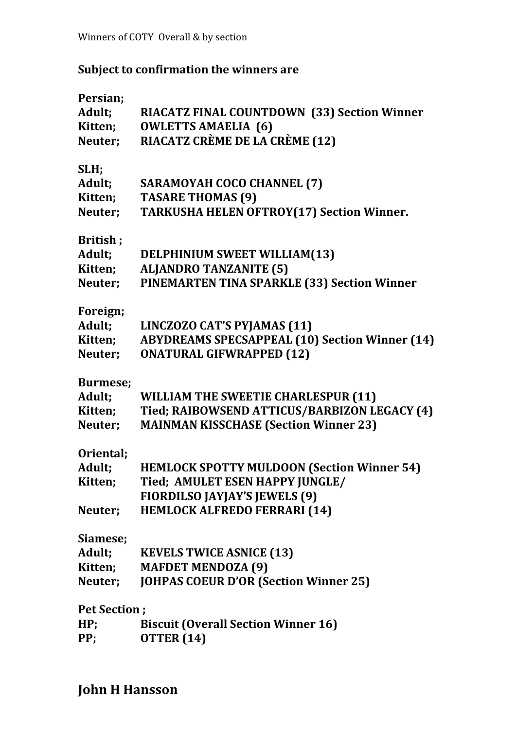## **Subject to confirmation the winners are**

| Adult;<br><b>RIACATZ FINAL COUNTDOWN (33) Section Winner</b>     |  |
|------------------------------------------------------------------|--|
|                                                                  |  |
| <b>OWLETTS AMAELIA (6)</b><br>Kitten;                            |  |
| RIACATZ CRÈME DE LA CRÈME (12)<br>Neuter;                        |  |
|                                                                  |  |
| SLH;                                                             |  |
| Adult;<br><b>SARAMOYAH COCO CHANNEL (7)</b>                      |  |
| Kitten;<br><b>TASARE THOMAS (9)</b>                              |  |
| Neuter;<br><b>TARKUSHA HELEN OFTROY(17) Section Winner.</b>      |  |
|                                                                  |  |
| British;                                                         |  |
| Adult;<br><b>DELPHINIUM SWEET WILLIAM(13)</b>                    |  |
| Kitten;<br><b>ALJANDRO TANZANITE (5)</b>                         |  |
| PINEMARTEN TINA SPARKLE (33) Section Winner<br>Neuter;           |  |
|                                                                  |  |
| Foreign;                                                         |  |
| LINCZOZO CAT'S PYJAMAS (11)<br>Adult;                            |  |
| <b>ABYDREAMS SPECSAPPEAL (10) Section Winner (14)</b><br>Kitten; |  |
| <b>ONATURAL GIFWRAPPED (12)</b><br>Neuter;                       |  |
|                                                                  |  |
| <b>Burmese;</b>                                                  |  |
| Adult;<br><b>WILLIAM THE SWEETIE CHARLESPUR (11)</b>             |  |
| Tied; RAIBOWSEND ATTICUS/BARBIZON LEGACY (4)<br>Kitten;          |  |
| <b>MAINMAN KISSCHASE (Section Winner 23)</b><br>Neuter;          |  |
|                                                                  |  |
|                                                                  |  |
| Oriental;                                                        |  |
| Adult;                                                           |  |
| <b>HEMLOCK SPOTTY MULDOON (Section Winner 54)</b>                |  |
| Tied; AMULET ESEN HAPPY JUNGLE/<br>Kitten;                       |  |
| <b>FIORDILSO JAYJAY'S JEWELS (9)</b>                             |  |
| <b>HEMLOCK ALFREDO FERRARI (14)</b><br>Neuter;                   |  |
| Siamese;                                                         |  |
| Adult;<br><b>KEVELS TWICE ASNICE (13)</b>                        |  |
| <b>MAFDET MENDOZA (9)</b><br>Kitten;                             |  |
| Neuter:                                                          |  |
| <b>JOHPAS COEUR D'OR (Section Winner 25)</b>                     |  |
| <b>Pet Section;</b>                                              |  |
| <b>Biscuit (Overall Section Winner 16)</b><br>HP;                |  |

**John H Hansson**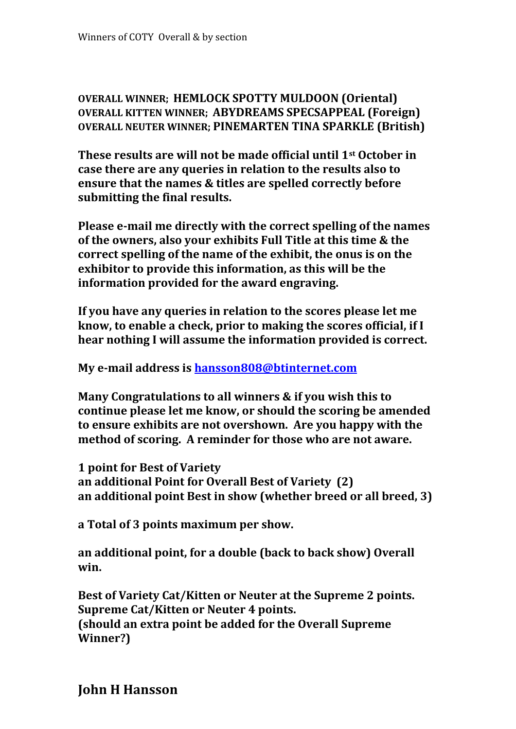**OVERALL WINNER; HEMLOCK SPOTTY MULDOON (Oriental) OVERALL KITTEN WINNER; ABYDREAMS SPECSAPPEAL (Foreign) OVERALL NEUTER WINNER; PINEMARTEN TINA SPARKLE (British)**

**These results are will not be made official until 1st October in case there are any queries in relation to the results also to ensure that the names & titles are spelled correctly before submitting the final results.**

**Please e-mail me directly with the correct spelling of the names of the owners, also your exhibits Full Title at this time & the correct spelling of the name of the exhibit, the onus is on the exhibitor to provide this information, as this will be the information provided for the award engraving.**

**If you have any queries in relation to the scores please let me know, to enable a check, prior to making the scores official, if I hear nothing I will assume the information provided is correct.**

**My e-mail address is hansson808@btinternet.com**

**Many Congratulations to all winners & if you wish this to continue please let me know, or should the scoring be amended to ensure exhibits are not overshown. Are you happy with the method of scoring. A reminder for those who are not aware.**

**1 point for Best of Variety an additional Point for Overall Best of Variety (2) an additional point Best in show (whether breed or all breed, 3)**

**a Total of 3 points maximum per show.**

**an additional point, for a double (back to back show) Overall win.**

**Best of Variety Cat/Kitten or Neuter at the Supreme 2 points. Supreme Cat/Kitten or Neuter 4 points. (should an extra point be added for the Overall Supreme Winner?)**

**John H Hansson**